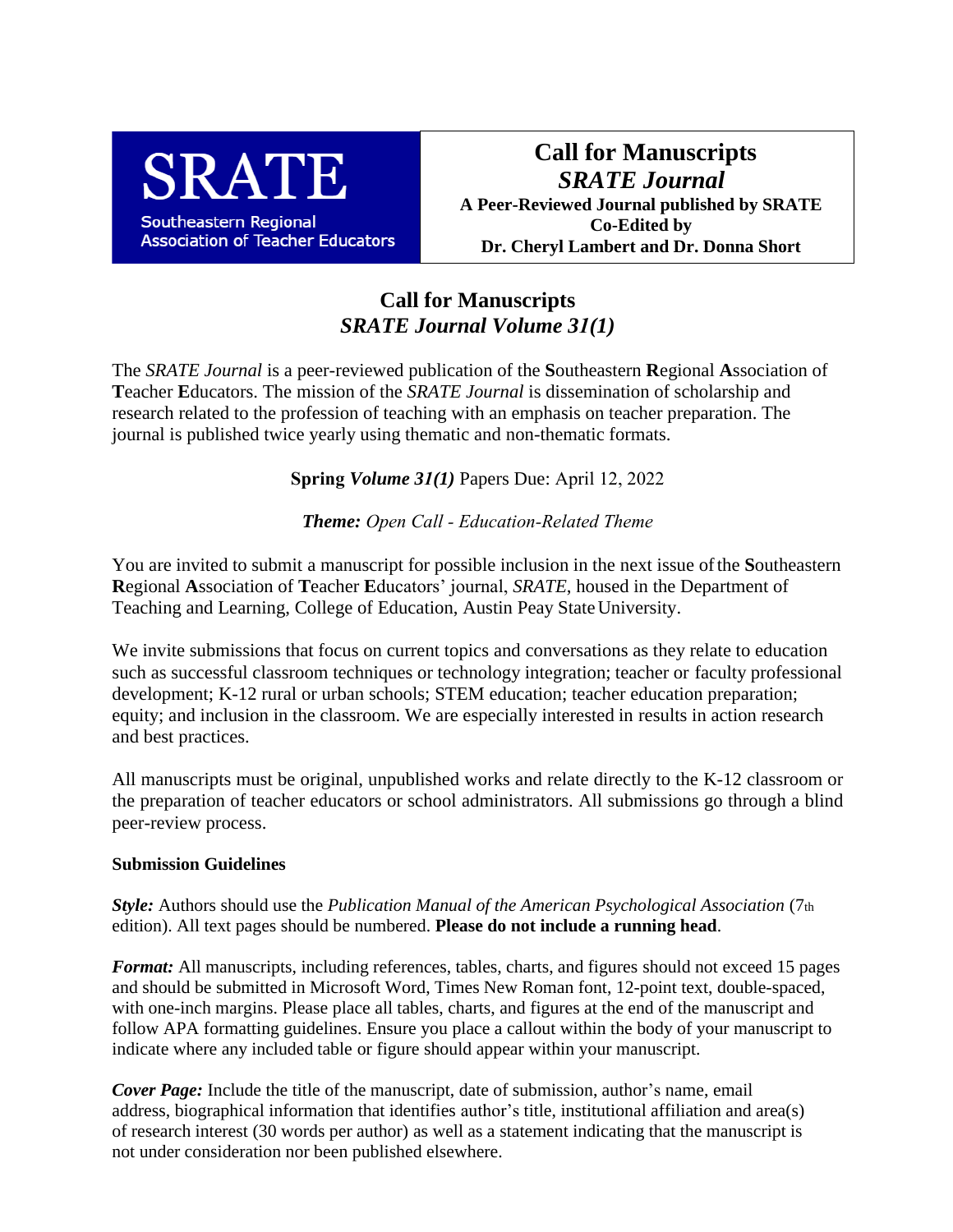

**Call for Manuscripts** *SRATE Journal* **A Peer-Reviewed Journal published by SRATE Co-Edited by Dr. Cheryl Lambert and Dr. Donna Short**

## **Call for Manuscripts**  *SRATE Journal Volume 31(1)*

The *SRATE Journal* is a peer-reviewed publication of the **S**outheastern **R**egional **A**ssociation of **T**eacher **E**ducators. The mission of the *SRATE Journal* is dissemination of scholarship and research related to the profession of teaching with an emphasis on teacher preparation. The journal is published twice yearly using thematic and non-thematic formats.

**Spring** *Volume 31(1)* Papers Due: April 12, 2022

*Theme: Open Call - Education-Related Theme*

You are invited to submit a manuscript for possible inclusion in the next issue of the **S**outheastern **R**egional **A**ssociation of **T**eacher **E**ducators' journal, *SRATE*, housed in the Department of Teaching and Learning, College of Education, Austin Peay State University.

We invite submissions that focus on current topics and conversations as they relate to education such as successful classroom techniques or technology integration; teacher or faculty professional development; K-12 rural or urban schools; STEM education; teacher education preparation; equity; and inclusion in the classroom. We are especially interested in results in action research and best practices.

All manuscripts must be original, unpublished works and relate directly to the K-12 classroom or the preparation of teacher educators or school administrators. All submissions go through a blind peer-review process.

## **Submission Guidelines**

*Style:* Authors should use the *Publication Manual of the American Psychological Association* (7th edition). All text pages should be numbered. **Please do not include a running head**.

*Format:* All manuscripts, including references, tables, charts, and figures should not exceed 15 pages and should be submitted in Microsoft Word, Times New Roman font, 12-point text, double-spaced, with one-inch margins. Please place all tables, charts, and figures at the end of the manuscript and follow APA formatting guidelines. Ensure you place a callout within the body of your manuscript to indicate where any included table or figure should appear within your manuscript.

*Cover Page:* Include the title of the manuscript, date of submission, author's name, email address, biographical information that identifies author's title, institutional affiliation and area(s) of research interest (30 words per author) as well as a statement indicating that the manuscript is not under consideration nor been published elsewhere.